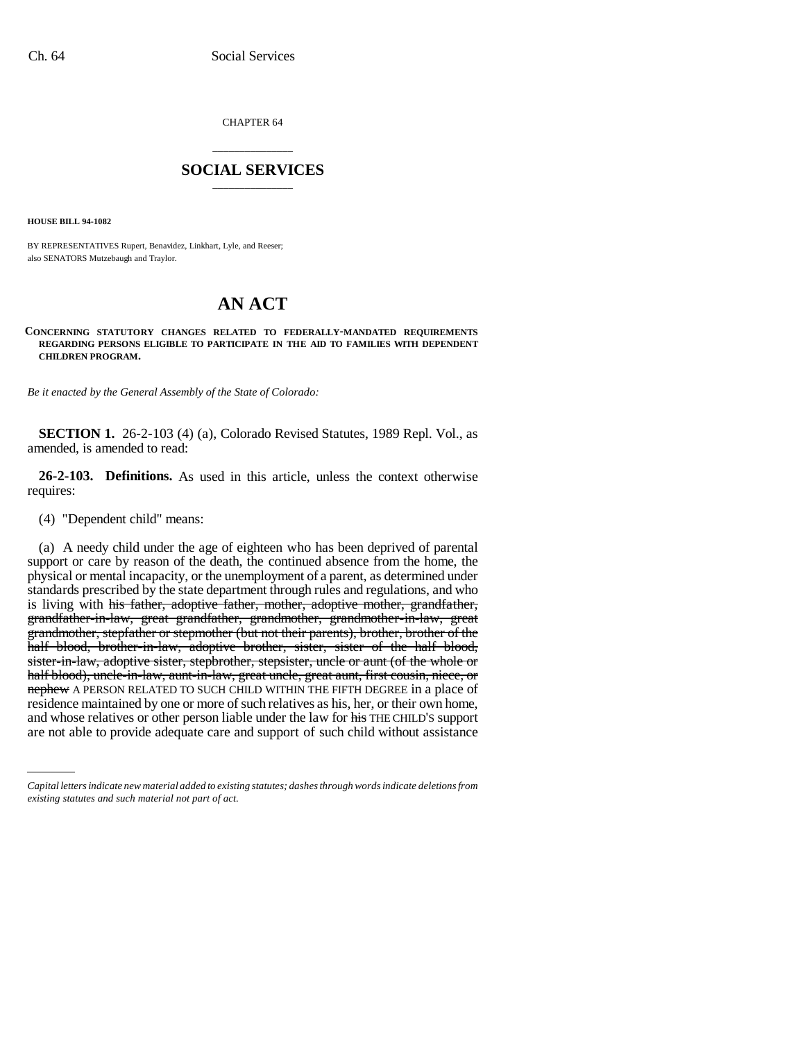CHAPTER 64

## \_\_\_\_\_\_\_\_\_\_\_\_\_\_\_ **SOCIAL SERVICES** \_\_\_\_\_\_\_\_\_\_\_\_\_\_\_

**HOUSE BILL 94-1082**

BY REPRESENTATIVES Rupert, Benavidez, Linkhart, Lyle, and Reeser; also SENATORS Mutzebaugh and Traylor.

## **AN ACT**

## **CONCERNING STATUTORY CHANGES RELATED TO FEDERALLY-MANDATED REQUIREMENTS REGARDING PERSONS ELIGIBLE TO PARTICIPATE IN THE AID TO FAMILIES WITH DEPENDENT CHILDREN PROGRAM.**

*Be it enacted by the General Assembly of the State of Colorado:*

**SECTION 1.** 26-2-103 (4) (a), Colorado Revised Statutes, 1989 Repl. Vol., as amended, is amended to read:

**26-2-103. Definitions.** As used in this article, unless the context otherwise requires:

(4) "Dependent child" means:

are not able to provide adequate care and support of such child without assistance(a) A needy child under the age of eighteen who has been deprived of parental support or care by reason of the death, the continued absence from the home, the physical or mental incapacity, or the unemployment of a parent, as determined under standards prescribed by the state department through rules and regulations, and who is living with his father, adoptive father, mother, adoptive mother, grandfather, grandfather-in-law, great grandfather, grandmother, grandmother-in-law, great grandmother, stepfather or stepmother (but not their parents), brother, brother of the half blood, brother-in-law, adoptive brother, sister, sister of the half blood, sister-in-law, adoptive sister, stepbrother, stepsister, uncle or aunt (of the whole or half blood), uncle-in-law, aunt-in-law, great uncle, great aunt, first cousin, niece, or nephew A PERSON RELATED TO SUCH CHILD WITHIN THE FIFTH DEGREE in a place of residence maintained by one or more of such relatives as his, her, or their own home, and whose relatives or other person liable under the law for his THE CHILD'S support

*Capital letters indicate new material added to existing statutes; dashes through words indicate deletions from existing statutes and such material not part of act.*